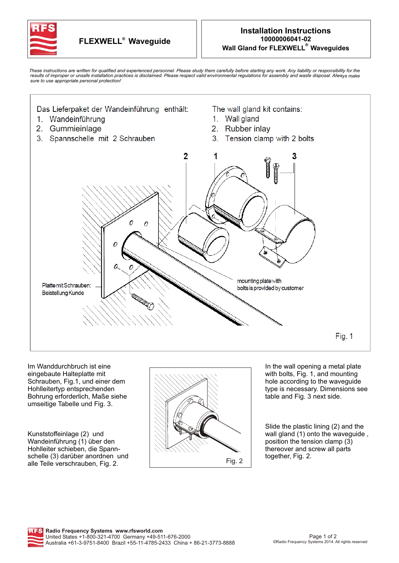

These instructions are written for qualified and experienced personnel. Please study them carefully before starting any work. Any liability or responsibility for the<br>results of improper or unsafe installation practices is *sure to use appropriate personal protection!*



Im Wanddurchbruch ist eine eingebaute Halteplatte mit Schrauben, Fig.1, und einer dem Hohlleitertyp entsprechenden Bohrung erforderlich, Maße siehe umseitige Tabelle und Fig. 3.

Kunststoffeinlage (2) und Wandeinführung (1) über den Hohlleiter schieben, die Spannschelle (3) darüber anordnen und alle Teile verschrauben, Fig. 2.



In the wall opening a metal plate with bolts, Fig. 1, and mounting hole according to the waveguide type is necessary. Dimensions see table and Fig. 3 next side.

Slide the plastic lining (2) and the wall gland (1) onto the waveguide, position the tension clamp (3) thereover and screw all parts together, Fig. 2.